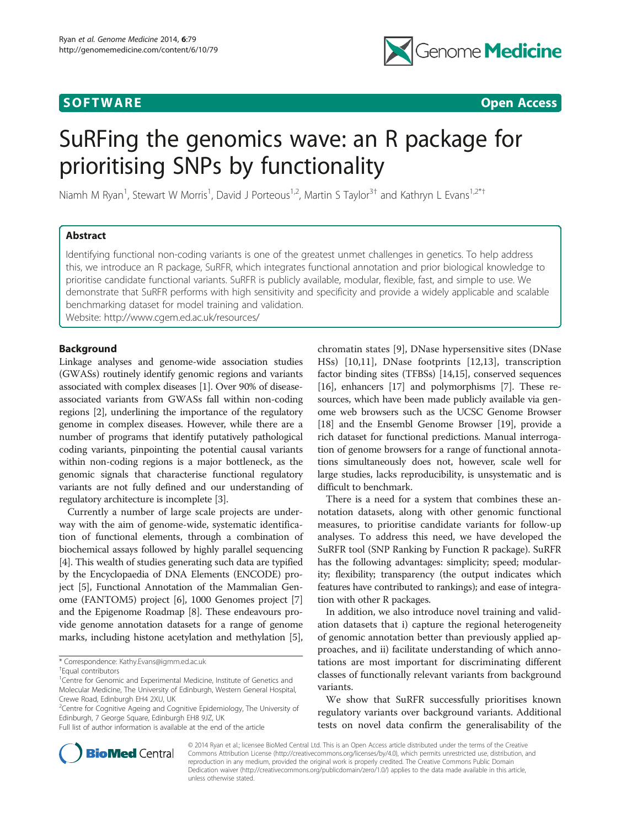# **SOFTWARE SOFTWARE** *CONSERVERSE EXECUTIVE EXECUTIVE EXECUTIVE EXECUTIVE EXECUTIVE EXECUTIVE EXECUTIVE EXECUTIVE EXECUTIVE EXECUTIVE EXECUTIVE EXECUTIVE EXECUTIVE EXECUTIVE EXECUTIVE EXECUTIVE EXECUTIVE EXECUTIVE EXECUT*



# SuRFing the genomics wave: an R package for prioritising SNPs by functionality

Niamh M Ryan<sup>1</sup>, Stewart W Morris<sup>1</sup>, David J Porteous<sup>1,2</sup>, Martin S Taylor<sup>3†</sup> and Kathryn L Evans<sup>1,2\*†</sup>

# Abstract

Identifying functional non-coding variants is one of the greatest unmet challenges in genetics. To help address this, we introduce an R package, SuRFR, which integrates functional annotation and prior biological knowledge to prioritise candidate functional variants. SuRFR is publicly available, modular, flexible, fast, and simple to use. We demonstrate that SuRFR performs with high sensitivity and specificity and provide a widely applicable and scalable benchmarking dataset for model training and validation.

Website:<http://www.cgem.ed.ac.uk/resources/>

# Background

Linkage analyses and genome-wide association studies (GWASs) routinely identify genomic regions and variants associated with complex diseases [\[1](#page-11-0)]. Over 90% of diseaseassociated variants from GWASs fall within non-coding regions [[2](#page-11-0)], underlining the importance of the regulatory genome in complex diseases. However, while there are a number of programs that identify putatively pathological coding variants, pinpointing the potential causal variants within non-coding regions is a major bottleneck, as the genomic signals that characterise functional regulatory variants are not fully defined and our understanding of regulatory architecture is incomplete [\[3\]](#page-11-0).

Currently a number of large scale projects are underway with the aim of genome-wide, systematic identification of functional elements, through a combination of biochemical assays followed by highly parallel sequencing [[4\]](#page-11-0). This wealth of studies generating such data are typified by the Encyclopaedia of DNA Elements (ENCODE) project [\[5\]](#page-11-0), Functional Annotation of the Mammalian Genome (FANTOM5) project [\[6](#page-11-0)], 1000 Genomes project [[7](#page-11-0)] and the Epigenome Roadmap [[8\]](#page-11-0). These endeavours provide genome annotation datasets for a range of genome marks, including histone acetylation and methylation [[5](#page-11-0)],

chromatin states [\[9](#page-11-0)], DNase hypersensitive sites (DNase HSs) [[10,11](#page-11-0)], DNase footprints [\[12,13](#page-11-0)], transcription factor binding sites (TFBSs) [\[14,15\]](#page-11-0), conserved sequences [[16](#page-11-0)], enhancers [\[17\]](#page-11-0) and polymorphisms [\[7](#page-11-0)]. These resources, which have been made publicly available via genome web browsers such as the UCSC Genome Browser [[18](#page-11-0)] and the Ensembl Genome Browser [\[19\]](#page-11-0), provide a rich dataset for functional predictions. Manual interrogation of genome browsers for a range of functional annotations simultaneously does not, however, scale well for large studies, lacks reproducibility, is unsystematic and is difficult to benchmark.

There is a need for a system that combines these annotation datasets, along with other genomic functional measures, to prioritise candidate variants for follow-up analyses. To address this need, we have developed the SuRFR tool (SNP Ranking by Function R package). SuRFR has the following advantages: simplicity; speed; modularity; flexibility; transparency (the output indicates which features have contributed to rankings); and ease of integration with other R packages.

In addition, we also introduce novel training and validation datasets that i) capture the regional heterogeneity of genomic annotation better than previously applied approaches, and ii) facilitate understanding of which annotations are most important for discriminating different classes of functionally relevant variants from background variants.

We show that SuRFR successfully prioritises known regulatory variants over background variants. Additional tests on novel data confirm the generalisability of the



© 2014 Ryan et al.; licensee BioMed Central Ltd. This is an Open Access article distributed under the terms of the Creative Commons Attribution License [\(http://creativecommons.org/licenses/by/4.0\)](http://creativecommons.org/licenses/by/4.0), which permits unrestricted use, distribution, and reproduction in any medium, provided the original work is properly credited. The Creative Commons Public Domain Dedication waiver [\(http://creativecommons.org/publicdomain/zero/1.0/](http://creativecommons.org/publicdomain/zero/1.0/)) applies to the data made available in this article, unless otherwise stated.

<sup>\*</sup> Correspondence: [Kathy.Evans@igmm.ed.ac.uk](mailto:Kathy.Evans@igmm.ed.ac.uk) †

Equal contributors

<sup>&</sup>lt;sup>1</sup>Centre for Genomic and Experimental Medicine, Institute of Genetics and Molecular Medicine, The University of Edinburgh, Western General Hospital, Crewe Road, Edinburgh EH4 2XU, UK

<sup>&</sup>lt;sup>2</sup>Centre for Cognitive Ageing and Cognitive Epidemiology, The University of Edinburgh, 7 George Square, Edinburgh EH8 9JZ, UK

Full list of author information is available at the end of the article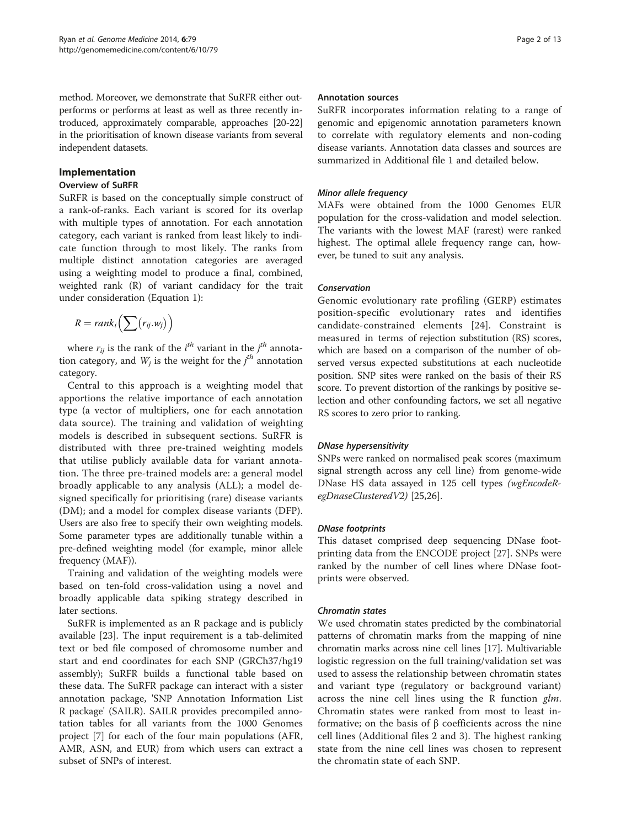<span id="page-1-0"></span>method. Moreover, we demonstrate that SuRFR either outperforms or performs at least as well as three recently introduced, approximately comparable, approaches [\[20](#page-11-0)-[22](#page-11-0)] in the prioritisation of known disease variants from several independent datasets.

# Implementation

## Overview of SuRFR

SuRFR is based on the conceptually simple construct of a rank-of-ranks. Each variant is scored for its overlap with multiple types of annotation. For each annotation category, each variant is ranked from least likely to indicate function through to most likely. The ranks from multiple distinct annotation categories are averaged using a weighting model to produce a final, combined, weighted rank (R) of variant candidacy for the trait under consideration (Equation 1):

$$
R = rank_i\Big(\sum (r_{ij}.w_j)\Big)
$$

where  $r_{ij}$  is the rank of the  $i^{th}$  variant in the  $j^{th}$  annotation category, and  $W_j$  is the weight for the  $j^{th}$  annotation category.

Central to this approach is a weighting model that apportions the relative importance of each annotation type (a vector of multipliers, one for each annotation data source). The training and validation of weighting models is described in subsequent sections. SuRFR is distributed with three pre-trained weighting models that utilise publicly available data for variant annotation. The three pre-trained models are: a general model broadly applicable to any analysis (ALL); a model designed specifically for prioritising (rare) disease variants (DM); and a model for complex disease variants (DFP). Users are also free to specify their own weighting models. Some parameter types are additionally tunable within a pre-defined weighting model (for example, minor allele frequency (MAF)).

Training and validation of the weighting models were based on ten-fold cross-validation using a novel and broadly applicable data spiking strategy described in later sections.

SuRFR is implemented as an R package and is publicly available [[23](#page-11-0)]. The input requirement is a tab-delimited text or bed file composed of chromosome number and start and end coordinates for each SNP (GRCh37/hg19 assembly); SuRFR builds a functional table based on these data. The SuRFR package can interact with a sister annotation package, 'SNP Annotation Information List R package' (SAILR). SAILR provides precompiled annotation tables for all variants from the 1000 Genomes project [\[7](#page-11-0)] for each of the four main populations (AFR, AMR, ASN, and EUR) from which users can extract a subset of SNPs of interest.

## Annotation sources

SuRFR incorporates information relating to a range of genomic and epigenomic annotation parameters known to correlate with regulatory elements and non-coding disease variants. Annotation data classes and sources are summarized in Additional file [1](#page-10-0) and detailed below.

# Minor allele frequency

MAFs were obtained from the 1000 Genomes EUR population for the cross-validation and model selection. The variants with the lowest MAF (rarest) were ranked highest. The optimal allele frequency range can, however, be tuned to suit any analysis.

## Conservation

Genomic evolutionary rate profiling (GERP) estimates position-specific evolutionary rates and identifies candidate-constrained elements [\[24](#page-11-0)]. Constraint is measured in terms of rejection substitution (RS) scores, which are based on a comparison of the number of observed versus expected substitutions at each nucleotide position. SNP sites were ranked on the basis of their RS score. To prevent distortion of the rankings by positive selection and other confounding factors, we set all negative RS scores to zero prior to ranking.

## DNase hypersensitivity

SNPs were ranked on normalised peak scores (maximum signal strength across any cell line) from genome-wide DNase HS data assayed in 125 cell types (wgEncodeRegDnaseClusteredV2) [\[25,26](#page-11-0)].

## DNase footprints

This dataset comprised deep sequencing DNase footprinting data from the ENCODE project [[27](#page-11-0)]. SNPs were ranked by the number of cell lines where DNase footprints were observed.

# Chromatin states

We used chromatin states predicted by the combinatorial patterns of chromatin marks from the mapping of nine chromatin marks across nine cell lines [\[17](#page-11-0)]. Multivariable logistic regression on the full training/validation set was used to assess the relationship between chromatin states and variant type (regulatory or background variant) across the nine cell lines using the R function glm. Chromatin states were ranked from most to least informative; on the basis of β coefficients across the nine cell lines (Additional files [2](#page-10-0) and [3\)](#page-10-0). The highest ranking state from the nine cell lines was chosen to represent the chromatin state of each SNP.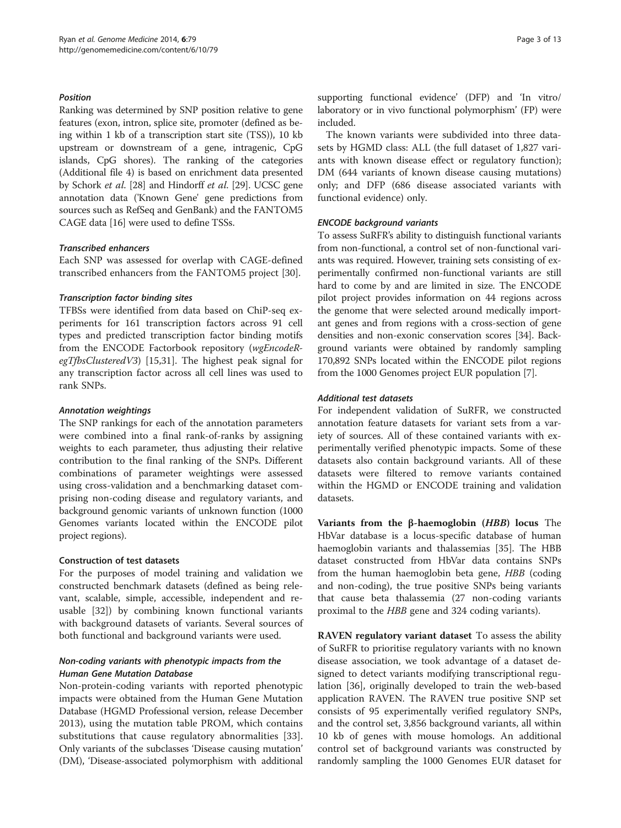## Position

Ranking was determined by SNP position relative to gene features (exon, intron, splice site, promoter (defined as being within 1 kb of a transcription start site (TSS)), 10 kb upstream or downstream of a gene, intragenic, CpG islands, CpG shores). The ranking of the categories (Additional file [4\)](#page-10-0) is based on enrichment data presented by Schork et al. [\[28\]](#page-11-0) and Hindorff et al. [[29](#page-11-0)]. UCSC gene annotation data ('Known Gene' gene predictions from sources such as RefSeq and GenBank) and the FANTOM5 CAGE data [\[16\]](#page-11-0) were used to define TSSs.

# Transcribed enhancers

Each SNP was assessed for overlap with CAGE-defined transcribed enhancers from the FANTOM5 project [\[30](#page-11-0)].

# Transcription factor binding sites

TFBSs were identified from data based on ChiP-seq experiments for 161 transcription factors across 91 cell types and predicted transcription factor binding motifs from the ENCODE Factorbook repository (wgEncodeR $egTfbsClusteredV3$  [[15,](#page-11-0)[31\]](#page-12-0). The highest peak signal for any transcription factor across all cell lines was used to rank SNPs.

## Annotation weightings

The SNP rankings for each of the annotation parameters were combined into a final rank-of-ranks by assigning weights to each parameter, thus adjusting their relative contribution to the final ranking of the SNPs. Different combinations of parameter weightings were assessed using cross-validation and a benchmarking dataset comprising non-coding disease and regulatory variants, and background genomic variants of unknown function (1000 Genomes variants located within the ENCODE pilot project regions).

## Construction of test datasets

For the purposes of model training and validation we constructed benchmark datasets (defined as being relevant, scalable, simple, accessible, independent and reusable [\[32](#page-12-0)]) by combining known functional variants with background datasets of variants. Several sources of both functional and background variants were used.

# Non-coding variants with phenotypic impacts from the Human Gene Mutation Database

Non-protein-coding variants with reported phenotypic impacts were obtained from the Human Gene Mutation Database (HGMD Professional version, release December 2013), using the mutation table PROM, which contains substitutions that cause regulatory abnormalities [[33](#page-12-0)]. Only variants of the subclasses 'Disease causing mutation' (DM), 'Disease-associated polymorphism with additional

supporting functional evidence' (DFP) and 'In vitro/ laboratory or in vivo functional polymorphism' (FP) were included.

The known variants were subdivided into three datasets by HGMD class: ALL (the full dataset of 1,827 variants with known disease effect or regulatory function); DM (644 variants of known disease causing mutations) only; and DFP (686 disease associated variants with functional evidence) only.

# ENCODE background variants

To assess SuRFR's ability to distinguish functional variants from non-functional, a control set of non-functional variants was required. However, training sets consisting of experimentally confirmed non-functional variants are still hard to come by and are limited in size. The ENCODE pilot project provides information on 44 regions across the genome that were selected around medically important genes and from regions with a cross-section of gene densities and non-exonic conservation scores [\[34\]](#page-12-0). Background variants were obtained by randomly sampling 170,892 SNPs located within the ENCODE pilot regions from the 1000 Genomes project EUR population [\[7](#page-11-0)].

# Additional test datasets

For independent validation of SuRFR, we constructed annotation feature datasets for variant sets from a variety of sources. All of these contained variants with experimentally verified phenotypic impacts. Some of these datasets also contain background variants. All of these datasets were filtered to remove variants contained within the HGMD or ENCODE training and validation datasets.

Variants from the β-haemoglobin (HBB) locus The HbVar database is a locus-specific database of human haemoglobin variants and thalassemias [\[35](#page-12-0)]. The HBB dataset constructed from HbVar data contains SNPs from the human haemoglobin beta gene, HBB (coding and non-coding), the true positive SNPs being variants that cause beta thalassemia (27 non-coding variants proximal to the HBB gene and 324 coding variants).

RAVEN regulatory variant dataset To assess the ability of SuRFR to prioritise regulatory variants with no known disease association, we took advantage of a dataset designed to detect variants modifying transcriptional regulation [\[36](#page-12-0)], originally developed to train the web-based application RAVEN. The RAVEN true positive SNP set consists of 95 experimentally verified regulatory SNPs, and the control set, 3,856 background variants, all within 10 kb of genes with mouse homologs. An additional control set of background variants was constructed by randomly sampling the 1000 Genomes EUR dataset for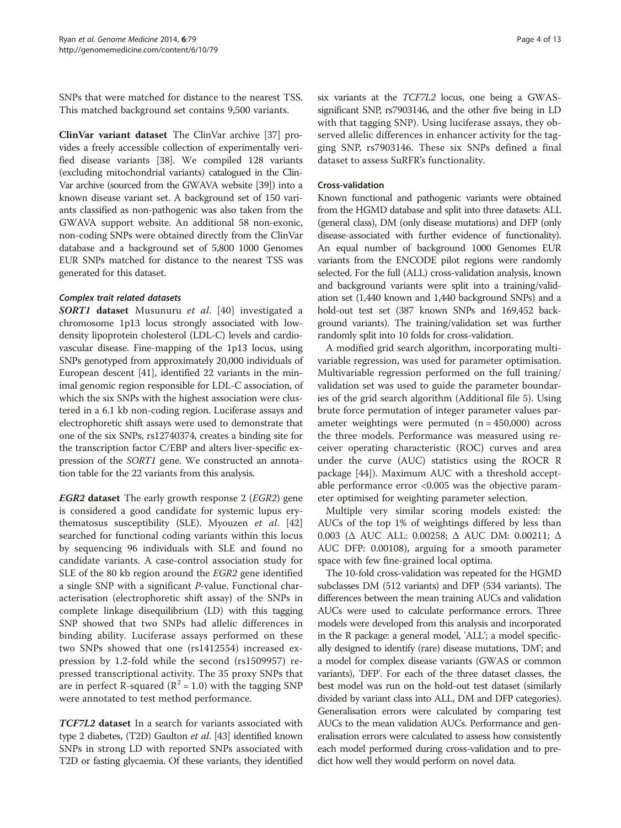SNPs that were matched for distance to the nearest TSS. This matched background set contains 9,500 variants.

ClinVar variant dataset The ClinVar archive [\[37](#page-12-0)] provides a freely accessible collection of experimentally verified disease variants [\[38\]](#page-12-0). We compiled 128 variants (excluding mitochondrial variants) catalogued in the Clin-Var archive (sourced from the GWAVA website [\[39\]](#page-12-0)) into a known disease variant set. A background set of 150 variants classified as non-pathogenic was also taken from the GWAVA support website. An additional 58 non-exonic, non-coding SNPs were obtained directly from the ClinVar database and a background set of 5,800 1000 Genomes EUR SNPs matched for distance to the nearest TSS was generated for this dataset.

# Complex trait related datasets

SORT1 dataset Musunuru et al. [[40\]](#page-12-0) investigated a chromosome 1p13 locus strongly associated with lowdensity lipoprotein cholesterol (LDL-C) levels and cardiovascular disease. Fine-mapping of the 1p13 locus, using SNPs genotyped from approximately 20,000 individuals of European descent [[41](#page-12-0)], identified 22 variants in the minimal genomic region responsible for LDL-C association, of which the six SNPs with the highest association were clustered in a 6.1 kb non-coding region. Luciferase assays and electrophoretic shift assays were used to demonstrate that one of the six SNPs, rs12740374, creates a binding site for the transcription factor C/EBP and alters liver-specific expression of the SORT1 gene. We constructed an annotation table for the 22 variants from this analysis.

**EGR2** dataset The early growth response 2 (EGR2) gene is considered a good candidate for systemic lupus erythematosus susceptibility (SLE). Myouzen et al. [[42](#page-12-0)] searched for functional coding variants within this locus by sequencing 96 individuals with SLE and found no candidate variants. A case-control association study for SLE of the 80 kb region around the EGR2 gene identified a single SNP with a significant P-value. Functional characterisation (electrophoretic shift assay) of the SNPs in complete linkage disequilibrium (LD) with this tagging SNP showed that two SNPs had allelic differences in binding ability. Luciferase assays performed on these two SNPs showed that one (rs1412554) increased expression by 1.2-fold while the second (rs1509957) repressed transcriptional activity. The 35 proxy SNPs that are in perfect R-squared ( $R^2 = 1.0$ ) with the tagging SNP were annotated to test method performance.

TCF7L2 dataset In a search for variants associated with type 2 diabetes, (T2D) Gaulton et al. [[43](#page-12-0)] identified known SNPs in strong LD with reported SNPs associated with T2D or fasting glycaemia. Of these variants, they identified

six variants at the TCF7L2 locus, one being a GWASsignificant SNP, rs7903146, and the other five being in LD with that tagging SNP). Using luciferase assays, they observed allelic differences in enhancer activity for the tagging SNP, rs7903146. These six SNPs defined a final dataset to assess SuRFR's functionality.

# Cross-validation

Known functional and pathogenic variants were obtained from the HGMD database and split into three datasets: ALL (general class), DM (only disease mutations) and DFP (only disease-associated with further evidence of functionality). An equal number of background 1000 Genomes EUR variants from the ENCODE pilot regions were randomly selected. For the full (ALL) cross-validation analysis, known and background variants were split into a training/validation set (1,440 known and 1,440 background SNPs) and a hold-out test set (387 known SNPs and 169,452 background variants). The training/validation set was further randomly split into 10 folds for cross-validation.

A modified grid search algorithm, incorporating multivariable regression, was used for parameter optimisation. Multivariable regression performed on the full training/ validation set was used to guide the parameter boundaries of the grid search algorithm (Additional file [5\)](#page-10-0). Using brute force permutation of integer parameter values parameter weightings were permuted  $(n = 450,000)$  across the three models. Performance was measured using receiver operating characteristic (ROC) curves and area under the curve (AUC) statistics using the ROCR R package [\[44\]](#page-12-0)). Maximum AUC with a threshold acceptable performance error <0.005 was the objective parameter optimised for weighting parameter selection.

Multiple very similar scoring models existed: the AUCs of the top 1% of weightings differed by less than 0.003 (Δ AUC ALL: 0.00258; Δ AUC DM: 0.00211; Δ AUC DFP: 0.00108), arguing for a smooth parameter space with few fine-grained local optima.

The 10-fold cross-validation was repeated for the HGMD subclasses DM (512 variants) and DFP (534 variants). The differences between the mean training AUCs and validation AUCs were used to calculate performance errors. Three models were developed from this analysis and incorporated in the R package: a general model, 'ALL'; a model specifically designed to identify (rare) disease mutations, 'DM'; and a model for complex disease variants (GWAS or common variants), 'DFP'. For each of the three dataset classes, the best model was run on the hold-out test dataset (similarly divided by variant class into ALL, DM and DFP categories). Generalisation errors were calculated by comparing test AUCs to the mean validation AUCs. Performance and generalisation errors were calculated to assess how consistently each model performed during cross-validation and to predict how well they would perform on novel data.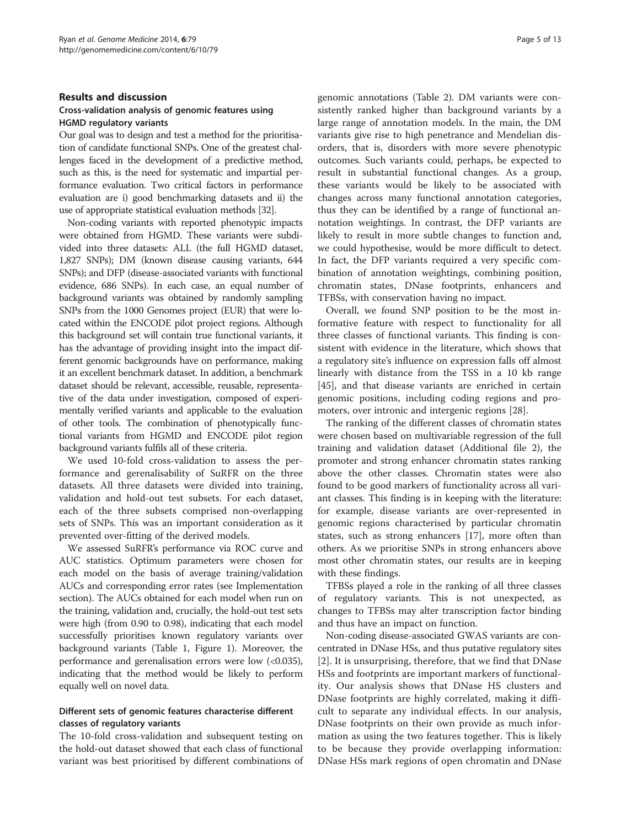## Results and discussion

# Cross-validation analysis of genomic features using HGMD regulatory variants

Our goal was to design and test a method for the prioritisation of candidate functional SNPs. One of the greatest challenges faced in the development of a predictive method, such as this, is the need for systematic and impartial performance evaluation. Two critical factors in performance evaluation are i) good benchmarking datasets and ii) the use of appropriate statistical evaluation methods [[32](#page-12-0)].

Non-coding variants with reported phenotypic impacts were obtained from HGMD. These variants were subdivided into three datasets: ALL (the full HGMD dataset, 1,827 SNPs); DM (known disease causing variants, 644 SNPs); and DFP (disease-associated variants with functional evidence, 686 SNPs). In each case, an equal number of background variants was obtained by randomly sampling SNPs from the 1000 Genomes project (EUR) that were located within the ENCODE pilot project regions. Although this background set will contain true functional variants, it has the advantage of providing insight into the impact different genomic backgrounds have on performance, making it an excellent benchmark dataset. In addition, a benchmark dataset should be relevant, accessible, reusable, representative of the data under investigation, composed of experimentally verified variants and applicable to the evaluation of other tools. The combination of phenotypically functional variants from HGMD and ENCODE pilot region background variants fulfils all of these criteria.

We used 10-fold cross-validation to assess the performance and gerenalisability of SuRFR on the three datasets. All three datasets were divided into training, validation and hold-out test subsets. For each dataset, each of the three subsets comprised non-overlapping sets of SNPs. This was an important consideration as it prevented over-fitting of the derived models.

We assessed SuRFR's performance via ROC curve and AUC statistics. Optimum parameters were chosen for each model on the basis of average training/validation AUCs and corresponding error rates (see [Implementation](#page-1-0) section). The AUCs obtained for each model when run on the training, validation and, crucially, the hold-out test sets were high (from 0.90 to 0.98), indicating that each model successfully prioritises known regulatory variants over background variants (Table [1](#page-5-0), Figure [1](#page-5-0)). Moreover, the performance and gerenalisation errors were low (<0.035), indicating that the method would be likely to perform equally well on novel data.

# Different sets of genomic features characterise different classes of regulatory variants

The 10-fold cross-validation and subsequent testing on the hold-out dataset showed that each class of functional variant was best prioritised by different combinations of

genomic annotations (Table [2](#page-6-0)). DM variants were consistently ranked higher than background variants by a large range of annotation models. In the main, the DM variants give rise to high penetrance and Mendelian disorders, that is, disorders with more severe phenotypic outcomes. Such variants could, perhaps, be expected to result in substantial functional changes. As a group, these variants would be likely to be associated with changes across many functional annotation categories, thus they can be identified by a range of functional annotation weightings. In contrast, the DFP variants are likely to result in more subtle changes to function and, we could hypothesise, would be more difficult to detect. In fact, the DFP variants required a very specific combination of annotation weightings, combining position, chromatin states, DNase footprints, enhancers and TFBSs, with conservation having no impact.

Overall, we found SNP position to be the most informative feature with respect to functionality for all three classes of functional variants. This finding is consistent with evidence in the literature, which shows that a regulatory site's influence on expression falls off almost linearly with distance from the TSS in a 10 kb range [[45\]](#page-12-0), and that disease variants are enriched in certain genomic positions, including coding regions and promoters, over intronic and intergenic regions [[28](#page-11-0)].

The ranking of the different classes of chromatin states were chosen based on multivariable regression of the full training and validation dataset (Additional file [2](#page-10-0)), the promoter and strong enhancer chromatin states ranking above the other classes. Chromatin states were also found to be good markers of functionality across all variant classes. This finding is in keeping with the literature: for example, disease variants are over-represented in genomic regions characterised by particular chromatin states, such as strong enhancers [\[17](#page-11-0)], more often than others. As we prioritise SNPs in strong enhancers above most other chromatin states, our results are in keeping with these findings.

TFBSs played a role in the ranking of all three classes of regulatory variants. This is not unexpected, as changes to TFBSs may alter transcription factor binding and thus have an impact on function.

Non-coding disease-associated GWAS variants are concentrated in DNase HSs, and thus putative regulatory sites [[2\]](#page-11-0). It is unsurprising, therefore, that we find that DNase HSs and footprints are important markers of functionality. Our analysis shows that DNase HS clusters and DNase footprints are highly correlated, making it difficult to separate any individual effects. In our analysis, DNase footprints on their own provide as much information as using the two features together. This is likely to be because they provide overlapping information: DNase HSs mark regions of open chromatin and DNase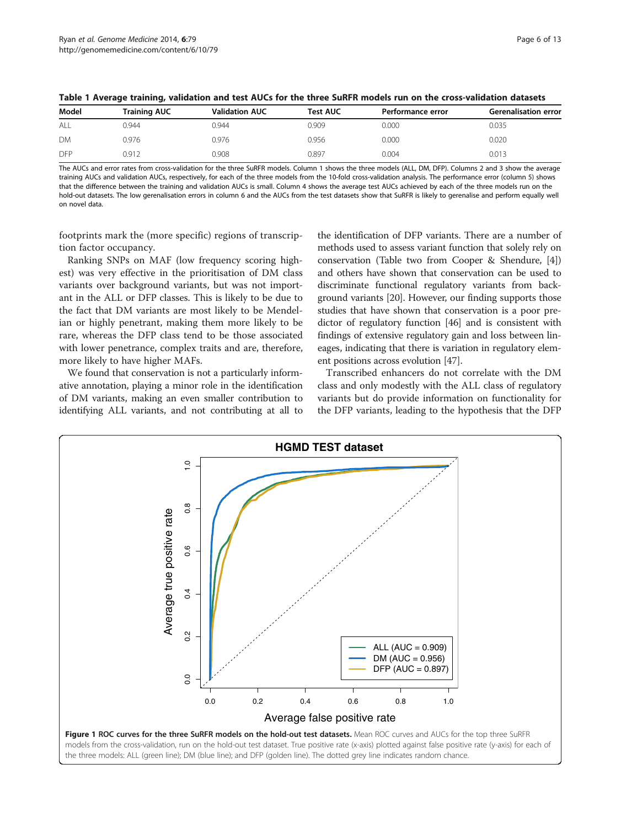| Model      | <b>Training AUC</b> | <b>Validation AUC</b> | <b>Test AUC</b> | Performance error | <b>Gerenalisation error</b> |
|------------|---------------------|-----------------------|-----------------|-------------------|-----------------------------|
| ALL        | 0.944               | 0.944                 | 0.909           | 0.000             | 0.035                       |
| <b>DM</b>  | 0.976               | 0.976                 | 0.956           | 0.000             | 0.020                       |
| <b>DFP</b> | 0.912               | 0.908                 | 0.897           | 0.004             | 0.013                       |
|            |                     |                       |                 |                   |                             |

<span id="page-5-0"></span>

|  |  |  | Table 1 Average training, validation and test AUCs for the three SuRFR models run on the cross-validation datasets |  |  |
|--|--|--|--------------------------------------------------------------------------------------------------------------------|--|--|
|--|--|--|--------------------------------------------------------------------------------------------------------------------|--|--|

The AUCs and error rates from cross-validation for the three SuRFR models. Column 1 shows the three models (ALL, DM, DFP). Columns 2 and 3 show the average training AUCs and validation AUCs, respectively, for each of the three models from the 10-fold cross-validation analysis. The performance error (column 5) shows that the difference between the training and validation AUCs is small. Column 4 shows the average test AUCs achieved by each of the three models run on the hold-out datasets. The low gerenalisation errors in column 6 and the AUCs from the test datasets show that SuRFR is likely to gerenalise and perform equally well on novel data.

footprints mark the (more specific) regions of transcription factor occupancy.

Ranking SNPs on MAF (low frequency scoring highest) was very effective in the prioritisation of DM class variants over background variants, but was not important in the ALL or DFP classes. This is likely to be due to the fact that DM variants are most likely to be Mendelian or highly penetrant, making them more likely to be rare, whereas the DFP class tend to be those associated with lower penetrance, complex traits and are, therefore, more likely to have higher MAFs.

We found that conservation is not a particularly informative annotation, playing a minor role in the identification of DM variants, making an even smaller contribution to identifying ALL variants, and not contributing at all to the identification of DFP variants. There are a number of methods used to assess variant function that solely rely on conservation (Table two from Cooper & Shendure, [[4](#page-11-0)]) and others have shown that conservation can be used to discriminate functional regulatory variants from background variants [[20](#page-11-0)]. However, our finding supports those studies that have shown that conservation is a poor predictor of regulatory function [\[46\]](#page-12-0) and is consistent with findings of extensive regulatory gain and loss between lineages, indicating that there is variation in regulatory element positions across evolution [[47](#page-12-0)].

Transcribed enhancers do not correlate with the DM class and only modestly with the ALL class of regulatory variants but do provide information on functionality for the DFP variants, leading to the hypothesis that the DFP

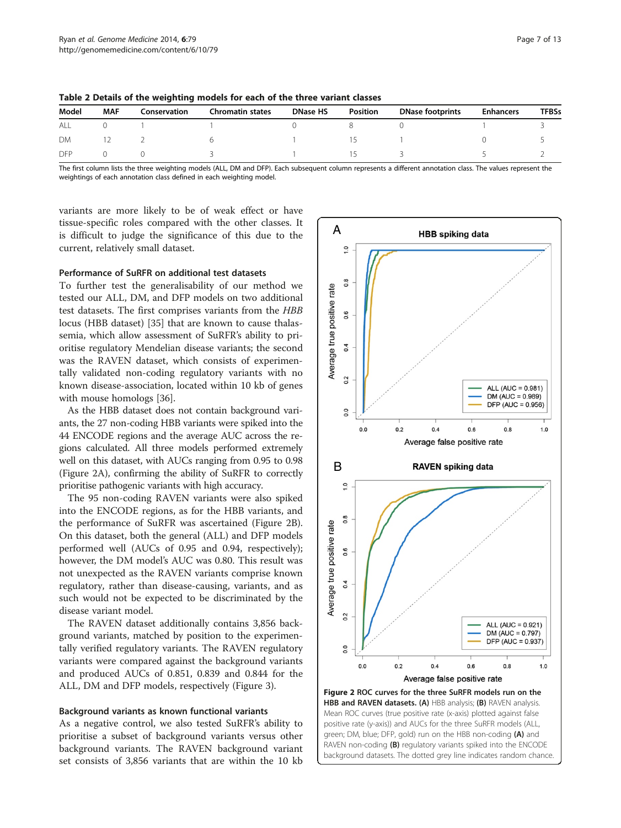| Model      | <b>MAF</b> | <b>Conservation</b> | <b>Chromatin states</b> | <b>DNase HS</b> | <b>Position</b> | <b>DNase footprints</b> | <b>Enhancers</b> | <b>TFBSs</b> |
|------------|------------|---------------------|-------------------------|-----------------|-----------------|-------------------------|------------------|--------------|
| ALL        |            |                     |                         |                 |                 |                         |                  |              |
| <b>DM</b>  |            |                     |                         |                 |                 |                         |                  |              |
| <b>DFP</b> |            |                     |                         |                 |                 |                         |                  |              |

<span id="page-6-0"></span>

|  |  |  |  | Table 2 Details of the weighting models for each of the three variant classes |
|--|--|--|--|-------------------------------------------------------------------------------|
|--|--|--|--|-------------------------------------------------------------------------------|

The first column lists the three weighting models (ALL, DM and DFP). Each subsequent column represents a different annotation class. The values represent the weightings of each annotation class defined in each weighting model.

variants are more likely to be of weak effect or have tissue-specific roles compared with the other classes. It is difficult to judge the significance of this due to the current, relatively small dataset.

#### Performance of SuRFR on additional test datasets

To further test the generalisability of our method we tested our ALL, DM, and DFP models on two additional test datasets. The first comprises variants from the HBB locus (HBB dataset) [[35](#page-12-0)] that are known to cause thalassemia, which allow assessment of SuRFR's ability to prioritise regulatory Mendelian disease variants; the second was the RAVEN dataset, which consists of experimentally validated non-coding regulatory variants with no known disease-association, located within 10 kb of genes with mouse homologs [\[36](#page-12-0)].

As the HBB dataset does not contain background variants, the 27 non-coding HBB variants were spiked into the 44 ENCODE regions and the average AUC across the regions calculated. All three models performed extremely well on this dataset, with AUCs ranging from 0.95 to 0.98 (Figure 2A), confirming the ability of SuRFR to correctly prioritise pathogenic variants with high accuracy.

The 95 non-coding RAVEN variants were also spiked into the ENCODE regions, as for the HBB variants, and the performance of SuRFR was ascertained (Figure 2B). On this dataset, both the general (ALL) and DFP models performed well (AUCs of 0.95 and 0.94, respectively); however, the DM model's AUC was 0.80. This result was not unexpected as the RAVEN variants comprise known regulatory, rather than disease-causing, variants, and as such would not be expected to be discriminated by the disease variant model.

The RAVEN dataset additionally contains 3,856 background variants, matched by position to the experimentally verified regulatory variants. The RAVEN regulatory variants were compared against the background variants and produced AUCs of 0.851, 0.839 and 0.844 for the ALL, DM and DFP models, respectively (Figure [3\)](#page-7-0).

## Background variants as known functional variants

As a negative control, we also tested SuRFR's ability to prioritise a subset of background variants versus other background variants. The RAVEN background variant set consists of 3,856 variants that are within the 10 kb



HBB and RAVEN datasets. (A) HBB analysis; (B) RAVEN analysis. Mean ROC curves (true positive rate (x-axis) plotted against false positive rate (y-axis)) and AUCs for the three SuRFR models (ALL, green; DM, blue; DFP, gold) run on the HBB non-coding (A) and RAVEN non-coding (B) regulatory variants spiked into the ENCODE background datasets. The dotted grey line indicates random chance.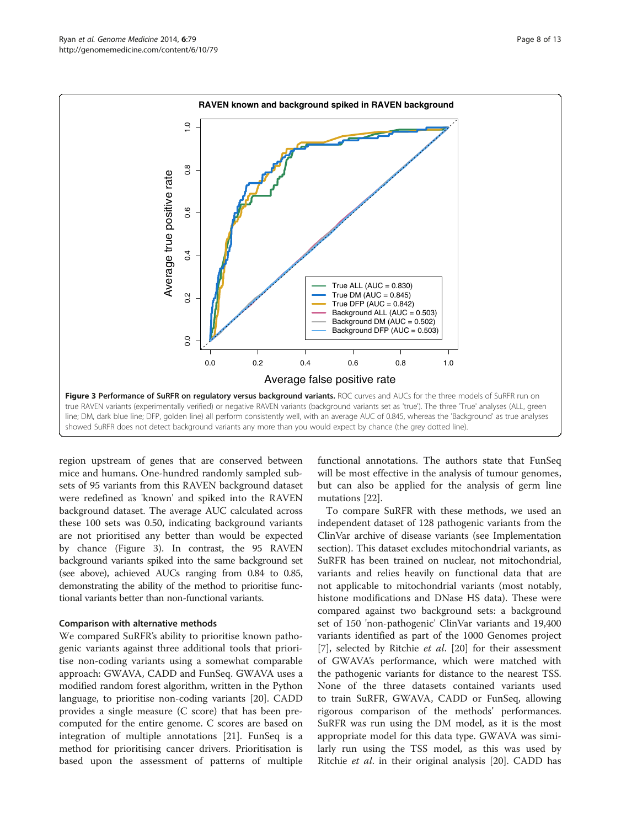region upstream of genes that are conserved between mice and humans. One-hundred randomly sampled subsets of 95 variants from this RAVEN background dataset were redefined as 'known' and spiked into the RAVEN background dataset. The average AUC calculated across these 100 sets was 0.50, indicating background variants are not prioritised any better than would be expected by chance (Figure 3). In contrast, the 95 RAVEN background variants spiked into the same background set (see above), achieved AUCs ranging from 0.84 to 0.85, demonstrating the ability of the method to prioritise functional variants better than non-functional variants.

## Comparison with alternative methods

We compared SuRFR's ability to prioritise known pathogenic variants against three additional tools that prioritise non-coding variants using a somewhat comparable approach: GWAVA, CADD and FunSeq. GWAVA uses a modified random forest algorithm, written in the Python language, to prioritise non-coding variants [\[20\]](#page-11-0). CADD provides a single measure (C score) that has been precomputed for the entire genome. C scores are based on integration of multiple annotations [\[21\]](#page-11-0). FunSeq is a method for prioritising cancer drivers. Prioritisation is based upon the assessment of patterns of multiple functional annotations. The authors state that FunSeq will be most effective in the analysis of tumour genomes, but can also be applied for the analysis of germ line mutations [[22\]](#page-11-0).

To compare SuRFR with these methods, we used an independent dataset of 128 pathogenic variants from the ClinVar archive of disease variants (see [Implementation](#page-1-0) section). This dataset excludes mitochondrial variants, as SuRFR has been trained on nuclear, not mitochondrial, variants and relies heavily on functional data that are not applicable to mitochondrial variants (most notably, histone modifications and DNase HS data). These were compared against two background sets: a background set of 150 'non-pathogenic' ClinVar variants and 19,400 variants identified as part of the 1000 Genomes project [[7\]](#page-11-0), selected by Ritchie *et al.* [\[20\]](#page-11-0) for their assessment of GWAVA's performance, which were matched with the pathogenic variants for distance to the nearest TSS. None of the three datasets contained variants used to train SuRFR, GWAVA, CADD or FunSeq, allowing rigorous comparison of the methods' performances. SuRFR was run using the DM model, as it is the most appropriate model for this data type. GWAVA was similarly run using the TSS model, as this was used by Ritchie et al. in their original analysis [\[20\]](#page-11-0). CADD has

<span id="page-7-0"></span>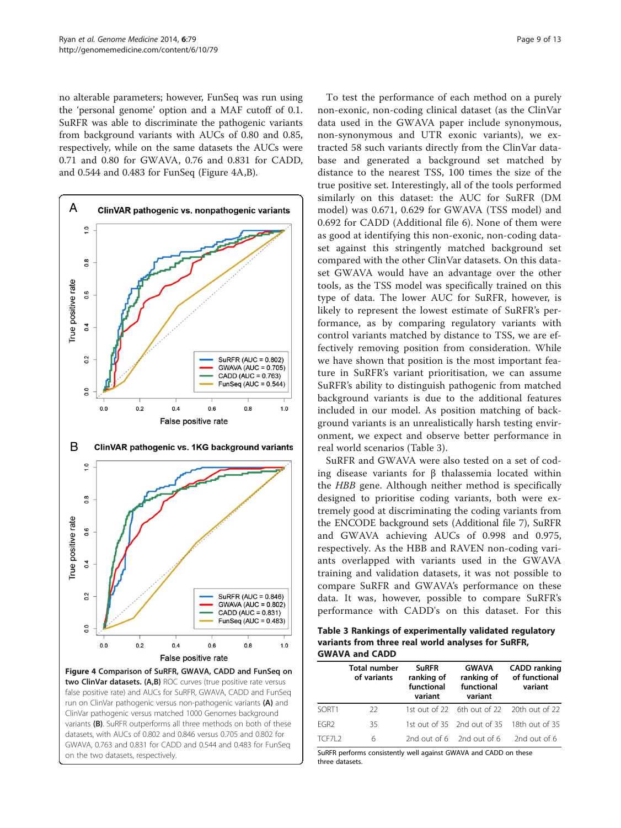<span id="page-8-0"></span>no alterable parameters; however, FunSeq was run using the 'personal genome' option and a MAF cutoff of 0.1. SuRFR was able to discriminate the pathogenic variants from background variants with AUCs of 0.80 and 0.85, respectively, while on the same datasets the AUCs were 0.71 and 0.80 for GWAVA, 0.76 and 0.831 for CADD, and 0.544 and 0.483 for FunSeq (Figure 4A,B).



two ClinVar datasets. (A,B) ROC curves (true positive rate versus false positive rate) and AUCs for SuRFR, GWAVA, CADD and FunSeq run on ClinVar pathogenic versus non-pathogenic variants (A) and ClinVar pathogenic versus matched 1000 Genomes background variants (B). SuRFR outperforms all three methods on both of these datasets, with AUCs of 0.802 and 0.846 versus 0.705 and 0.802 for GWAVA, 0.763 and 0.831 for CADD and 0.544 and 0.483 for FunSeq on the two datasets, respectively.

To test the performance of each method on a purely non-exonic, non-coding clinical dataset (as the ClinVar data used in the GWAVA paper include synonymous, non-synonymous and UTR exonic variants), we extracted 58 such variants directly from the ClinVar database and generated a background set matched by distance to the nearest TSS, 100 times the size of the true positive set. Interestingly, all of the tools performed similarly on this dataset: the AUC for SuRFR (DM model) was 0.671, 0.629 for GWAVA (TSS model) and 0.692 for CADD (Additional file [6](#page-10-0)). None of them were as good at identifying this non-exonic, non-coding dataset against this stringently matched background set compared with the other ClinVar datasets. On this dataset GWAVA would have an advantage over the other tools, as the TSS model was specifically trained on this type of data. The lower AUC for SuRFR, however, is likely to represent the lowest estimate of SuRFR's performance, as by comparing regulatory variants with control variants matched by distance to TSS, we are effectively removing position from consideration. While we have shown that position is the most important feature in SuRFR's variant prioritisation, we can assume SuRFR's ability to distinguish pathogenic from matched background variants is due to the additional features included in our model. As position matching of background variants is an unrealistically harsh testing environment, we expect and observe better performance in real world scenarios (Table 3).

SuRFR and GWAVA were also tested on a set of coding disease variants for β thalassemia located within the HBB gene. Although neither method is specifically designed to prioritise coding variants, both were extremely good at discriminating the coding variants from the ENCODE background sets (Additional file [7\)](#page-10-0), SuRFR and GWAVA achieving AUCs of 0.998 and 0.975, respectively. As the HBB and RAVEN non-coding variants overlapped with variants used in the GWAVA training and validation datasets, it was not possible to compare SuRFR and GWAVA's performance on these data. It was, however, possible to compare SuRFR's performance with CADD's on this dataset. For this

Table 3 Rankings of experimentally validated regulatory variants from three real world analyses for SuRFR, GWAVA and CADD

|                  | <b>Total number</b><br>of variants | <b>SuRFR</b><br>ranking of<br>functional<br>variant | <b>GWAVA</b><br>ranking of<br>functional<br>variant | <b>CADD</b> ranking<br>of functional<br>variant |
|------------------|------------------------------------|-----------------------------------------------------|-----------------------------------------------------|-------------------------------------------------|
| SORT1            | 22                                 |                                                     |                                                     | 1st out of 22 6th out of 22 20th out of 22      |
| FGR <sub>2</sub> | 35                                 |                                                     | 1st out of $35$ 2nd out of $35$                     | 18th out of 35                                  |
| <b>TCF712</b>    | 6                                  |                                                     | 2nd out of 6 2nd out of 6                           | 2nd out of 6                                    |

SuRFR performs consistently well against GWAVA and CADD on these three datasets.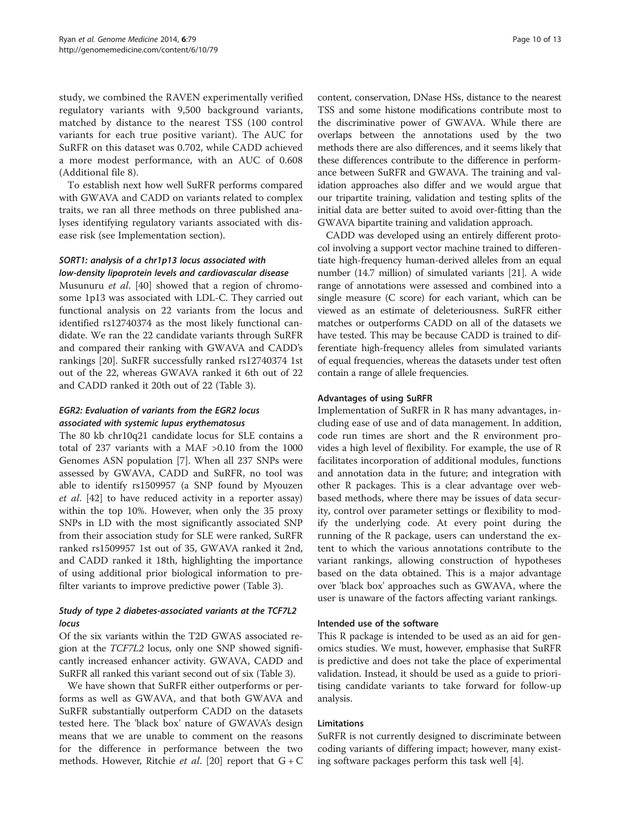study, we combined the RAVEN experimentally verified regulatory variants with 9,500 background variants, matched by distance to the nearest TSS (100 control variants for each true positive variant). The AUC for SuRFR on this dataset was 0.702, while CADD achieved a more modest performance, with an AUC of 0.608 (Additional file [8\)](#page-10-0).

To establish next how well SuRFR performs compared with GWAVA and CADD on variants related to complex traits, we ran all three methods on three published analyses identifying regulatory variants associated with disease risk (see [Implementation](#page-1-0) section).

# SORT1: analysis of a chr1p13 locus associated with low-density lipoprotein levels and cardiovascular disease

Musunuru et al. [[40\]](#page-12-0) showed that a region of chromosome 1p13 was associated with LDL-C. They carried out functional analysis on 22 variants from the locus and identified rs12740374 as the most likely functional candidate. We ran the 22 candidate variants through SuRFR and compared their ranking with GWAVA and CADD's rankings [[20\]](#page-11-0). SuRFR successfully ranked rs12740374 1st out of the 22, whereas GWAVA ranked it 6th out of 22 and CADD ranked it 20th out of 22 (Table [3](#page-8-0)).

# EGR2: Evaluation of variants from the EGR2 locus associated with systemic lupus erythematosus

The 80 kb chr10q21 candidate locus for SLE contains a total of 237 variants with a MAF >0.10 from the 1000 Genomes ASN population [[7](#page-11-0)]. When all 237 SNPs were assessed by GWAVA, CADD and SuRFR, no tool was able to identify rs1509957 (a SNP found by Myouzen et al. [[42\]](#page-12-0) to have reduced activity in a reporter assay) within the top 10%. However, when only the 35 proxy SNPs in LD with the most significantly associated SNP from their association study for SLE were ranked, SuRFR ranked rs1509957 1st out of 35, GWAVA ranked it 2nd, and CADD ranked it 18th, highlighting the importance of using additional prior biological information to prefilter variants to improve predictive power (Table [3](#page-8-0)).

# Study of type 2 diabetes-associated variants at the TCF7L2 locus

Of the six variants within the T2D GWAS associated region at the TCF7L2 locus, only one SNP showed significantly increased enhancer activity. GWAVA, CADD and SuRFR all ranked this variant second out of six (Table [3](#page-8-0)).

We have shown that SuRFR either outperforms or performs as well as GWAVA, and that both GWAVA and SuRFR substantially outperform CADD on the datasets tested here. The 'black box' nature of GWAVA's design means that we are unable to comment on the reasons for the difference in performance between the two methods. However, Ritchie et al. [[20\]](#page-11-0) report that  $G + C$ 

content, conservation, DNase HSs, distance to the nearest TSS and some histone modifications contribute most to the discriminative power of GWAVA. While there are overlaps between the annotations used by the two methods there are also differences, and it seems likely that these differences contribute to the difference in performance between SuRFR and GWAVA. The training and validation approaches also differ and we would argue that our tripartite training, validation and testing splits of the initial data are better suited to avoid over-fitting than the GWAVA bipartite training and validation approach.

CADD was developed using an entirely different protocol involving a support vector machine trained to differentiate high-frequency human-derived alleles from an equal number (14.7 million) of simulated variants [[21](#page-11-0)]. A wide range of annotations were assessed and combined into a single measure (C score) for each variant, which can be viewed as an estimate of deleteriousness. SuRFR either matches or outperforms CADD on all of the datasets we have tested. This may be because CADD is trained to differentiate high-frequency alleles from simulated variants of equal frequencies, whereas the datasets under test often contain a range of allele frequencies.

# Advantages of using SuRFR

Implementation of SuRFR in R has many advantages, including ease of use and of data management. In addition, code run times are short and the R environment provides a high level of flexibility. For example, the use of R facilitates incorporation of additional modules, functions and annotation data in the future; and integration with other R packages. This is a clear advantage over webbased methods, where there may be issues of data security, control over parameter settings or flexibility to modify the underlying code. At every point during the running of the R package, users can understand the extent to which the various annotations contribute to the variant rankings, allowing construction of hypotheses based on the data obtained. This is a major advantage over 'black box' approaches such as GWAVA, where the user is unaware of the factors affecting variant rankings.

# Intended use of the software

This R package is intended to be used as an aid for genomics studies. We must, however, emphasise that SuRFR is predictive and does not take the place of experimental validation. Instead, it should be used as a guide to prioritising candidate variants to take forward for follow-up analysis.

# Limitations

SuRFR is not currently designed to discriminate between coding variants of differing impact; however, many existing software packages perform this task well [\[4](#page-11-0)].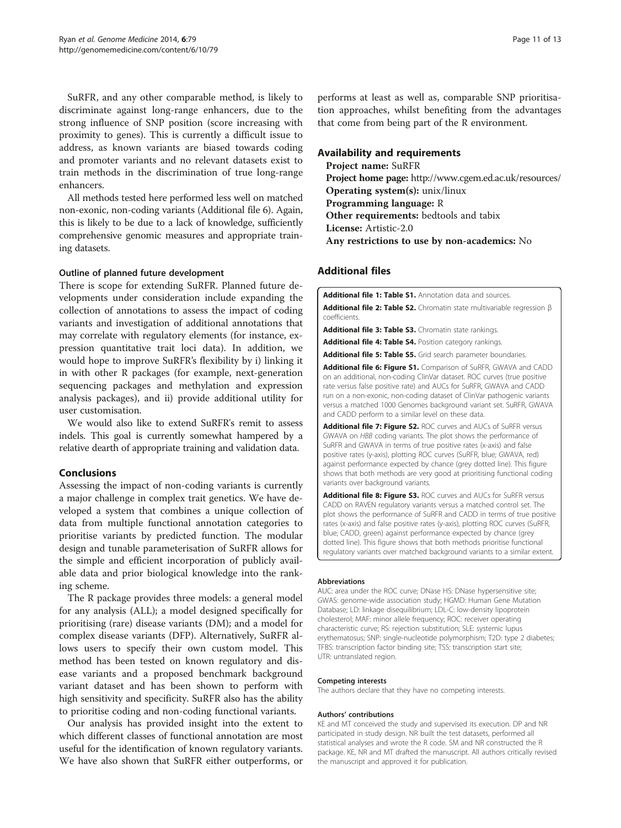<span id="page-10-0"></span>SuRFR, and any other comparable method, is likely to discriminate against long-range enhancers, due to the strong influence of SNP position (score increasing with proximity to genes). This is currently a difficult issue to address, as known variants are biased towards coding and promoter variants and no relevant datasets exist to train methods in the discrimination of true long-range enhancers.

All methods tested here performed less well on matched non-exonic, non-coding variants (Additional file 6). Again, this is likely to be due to a lack of knowledge, sufficiently comprehensive genomic measures and appropriate training datasets.

## Outline of planned future development

There is scope for extending SuRFR. Planned future developments under consideration include expanding the collection of annotations to assess the impact of coding variants and investigation of additional annotations that may correlate with regulatory elements (for instance, expression quantitative trait loci data). In addition, we would hope to improve SuRFR's flexibility by i) linking it in with other R packages (for example, next-generation sequencing packages and methylation and expression analysis packages), and ii) provide additional utility for user customisation.

We would also like to extend SuRFR's remit to assess indels. This goal is currently somewhat hampered by a relative dearth of appropriate training and validation data.

## Conclusions

Assessing the impact of non-coding variants is currently a major challenge in complex trait genetics. We have developed a system that combines a unique collection of data from multiple functional annotation categories to prioritise variants by predicted function. The modular design and tunable parameterisation of SuRFR allows for the simple and efficient incorporation of publicly available data and prior biological knowledge into the ranking scheme.

The R package provides three models: a general model for any analysis (ALL); a model designed specifically for prioritising (rare) disease variants (DM); and a model for complex disease variants (DFP). Alternatively, SuRFR allows users to specify their own custom model. This method has been tested on known regulatory and disease variants and a proposed benchmark background variant dataset and has been shown to perform with high sensitivity and specificity. SuRFR also has the ability to prioritise coding and non-coding functional variants.

Our analysis has provided insight into the extent to which different classes of functional annotation are most useful for the identification of known regulatory variants. We have also shown that SuRFR either outperforms, or

performs at least as well as, comparable SNP prioritisation approaches, whilst benefiting from the advantages that come from being part of the R environment.

## Availability and requirements

Project name: SuRFR Project home page: <http://www.cgem.ed.ac.uk/resources/> Operating system(s): unix/linux Programming language: R Other requirements: bedtools and tabix License: Artistic-2.0 Any restrictions to use by non-academics: No

# Additional files

[Additional file 1: Table S1.](http://genomemedicine.com/content/supplementary/s13073-014-0079-1-s1.doc) Annotation data and sources. [Additional file 2: Table S2.](http://genomemedicine.com/content/supplementary/s13073-014-0079-1-s2.doc) Chromatin state multivariable regression β coefficients.

[Additional file 3: Table S3.](http://genomemedicine.com/content/supplementary/s13073-014-0079-1-s3.doc) Chromatin state rankings.

[Additional file 4: Table S4.](http://genomemedicine.com/content/supplementary/s13073-014-0079-1-s4.doc) Position category rankings.

[Additional file 5: Table S5.](http://genomemedicine.com/content/supplementary/s13073-014-0079-1-s5.doc) Grid search parameter boundaries.

[Additional file 6: Figure S1.](http://genomemedicine.com/content/supplementary/s13073-014-0079-1-s6.pdf) Comparison of SuRFR, GWAVA and CADD on an additional, non-coding ClinVar dataset. ROC curves (true positive rate versus false positive rate) and AUCs for SuRFR, GWAVA and CADD run on a non-exonic, non-coding dataset of ClinVar pathogenic variants versus a matched 1000 Genomes background variant set. SuRFR, GWAVA and CADD perform to a similar level on these data.

[Additional file 7: Figure S2.](http://genomemedicine.com/content/supplementary/s13073-014-0079-1-s7.pdf) ROC curves and AUCs of SuRFR versus GWAVA on HBB coding variants. The plot shows the performance of SuRFR and GWAVA in terms of true positive rates (x-axis) and false positive rates (y-axis), plotting ROC curves (SuRFR, blue; GWAVA, red) against performance expected by chance (grey dotted line). This figure shows that both methods are very good at prioritising functional coding variants over background variants.

[Additional file 8: Figure S3.](http://genomemedicine.com/content/supplementary/s13073-014-0079-1-s8.pdf) ROC curves and AUCs for SuRFR versus CADD on RAVEN regulatory variants versus a matched control set. The plot shows the performance of SuRFR and CADD in terms of true positive rates (x-axis) and false positive rates (y-axis), plotting ROC curves (SuRFR, blue; CADD, green) against performance expected by chance (grey dotted line). This figure shows that both methods prioritise functional regulatory variants over matched background variants to a similar extent.

#### Abbreviations

AUC: area under the ROC curve; DNase HS: DNase hypersensitive site; GWAS: genome-wide association study; HGMD: Human Gene Mutation Database; LD: linkage disequilibrium; LDL-C: low-density lipoprotein cholesterol; MAF: minor allele frequency; ROC: receiver operating characteristic curve; RS: rejection substitution; SLE: systemic lupus erythematosus; SNP: single-nucleotide polymorphism; T2D: type 2 diabetes; TFBS: transcription factor binding site; TSS: transcription start site; UTR: untranslated region.

#### Competing interests

The authors declare that they have no competing interests.

#### Authors' contributions

KE and MT conceived the study and supervised its execution. DP and NR participated in study design. NR built the test datasets, performed all statistical analyses and wrote the R code. SM and NR constructed the R package. KE, NR and MT drafted the manuscript. All authors critically revised the manuscript and approved it for publication.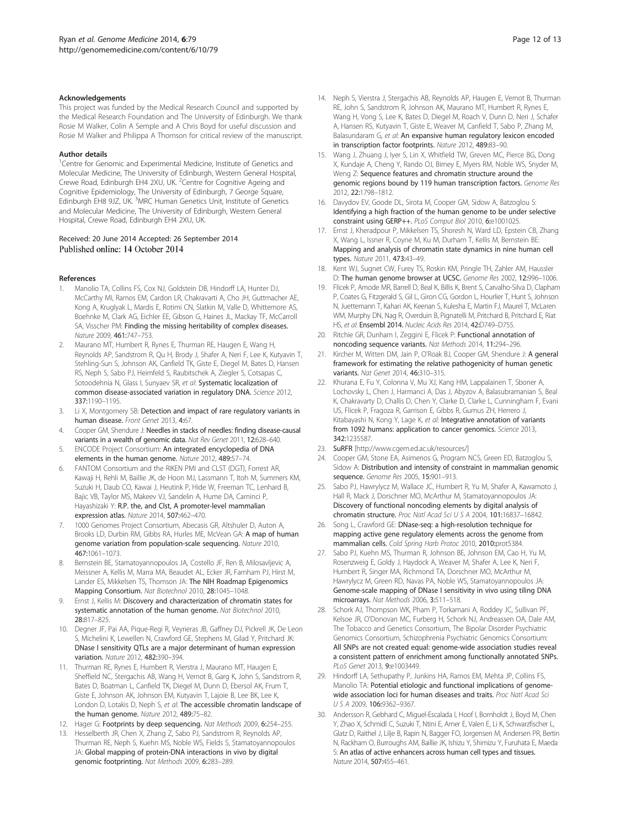#### <span id="page-11-0"></span>Acknowledgements

This project was funded by the Medical Research Council and supported by the Medical Research Foundation and The University of Edinburgh. We thank Rosie M Walker, Colin A Semple and A Chris Boyd for useful discussion and Rosie M Walker and Philippa A Thomson for critical review of the manuscript.

#### Author details

<sup>1</sup>Centre for Genomic and Experimental Medicine, Institute of Genetics and Molecular Medicine, The University of Edinburgh, Western General Hospital, Crewe Road, Edinburgh EH4 2XU, UK. <sup>2</sup>Centre for Cognitive Ageing and Cognitive Epidemiology, The University of Edinburgh, 7 George Square, Edinburgh EH8 9JZ, UK. <sup>3</sup>MRC Human Genetics Unit, Institute of Genetics and Molecular Medicine, The University of Edinburgh, Western General Hospital, Crewe Road, Edinburgh EH4 2XU, UK.

### Received: 20 June 2014 Accepted: 26 September 2014 Published online: 14 October 2014

#### References

- 1. Manolio TA, Collins FS, Cox NJ, Goldstein DB, Hindorff LA, Hunter DJ, McCarthy MI, Ramos EM, Cardon LR, Chakravarti A, Cho JH, Guttmacher AE, Kong A, Kruglyak L, Mardis E, Rotimi CN, Slatkin M, Valle D, Whittemore AS, Boehnke M, Clark AG, Eichler EE, Gibson G, Haines JL, Mackay TF, McCarroll SA, Visscher PM: Finding the missing heritability of complex diseases. Nature 2009, 461:747–753.
- 2. Maurano MT, Humbert R, Rynes E, Thurman RE, Haugen E, Wang H, Reynolds AP, Sandstrom R, Qu H, Brody J, Shafer A, Neri F, Lee K, Kutyavin T, Stehling-Sun S, Johnson AK, Canfield TK, Giste E, Diegel M, Bates D, Hansen RS, Neph S, Sabo PJ, Heimfeld S, Raubitschek A, Ziegler S, Cotsapas C, Sotoodehnia N, Glass I, Sunyaev SR, et al: Systematic localization of common disease-associated variation in regulatory DNA. Science 2012, 337:1190–1195.
- Li X, Montgomery SB: Detection and impact of rare regulatory variants in human disease. Front Genet 2013, 4:67.
- 4. Cooper GM, Shendure J: Needles in stacks of needles: finding disease-causal variants in a wealth of genomic data. Nat Rev Genet 2011, 12:628–640.
- 5. ENCODE Project Consortium: An integrated encyclopedia of DNA elements in the human genome. Nature 2012, 489:57–74.
- 6. FANTOM Consortium and the RIKEN PMI and CLST (DGT), Forrest AR, Kawaji H, Rehli M, Baillie JK, de Hoon MJ, Lassmann T, Itoh M, Summers KM, Suzuki H, Daub CO, Kawai J, Heutink P, Hide W, Freeman TC, Lenhard B, Bajic VB, Taylor MS, Makeev VJ, Sandelin A, Hume DA, Carninci P, Hayashizaki Y: R.P. the, and Clst, A promoter-level mammalian expression atlas. Nature 2014, 507:462–470.
- 7. 1000 Genomes Project Consortium, Abecasis GR, Altshuler D, Auton A, Brooks LD, Durbin RM, Gibbs RA, Hurles ME, McVean GA: A map of human genome variation from population-scale sequencing. Nature 2010, 467:1061–1073.
- 8. Bernstein BE, Stamatoyannopoulos JA, Costello JF, Ren B, Milosavljevic A, Meissner A, Kellis M, Marra MA, Beaudet AL, Ecker JR, Farnham PJ, Hirst M, Lander ES, Mikkelsen TS, Thomson JA: The NIH Roadmap Epigenomics Mapping Consortium. Nat Biotechnol 2010, 28:1045–1048.
- 9. Ernst J, Kellis M: Discovery and characterization of chromatin states for systematic annotation of the human genome. Nat Biotechnol 2010, 28:817–825.
- 10. Degner JF, Pai AA, Pique-Regi R, Veyrieras JB, Gaffney DJ, Pickrell JK, De Leon S, Michelini K, Lewellen N, Crawford GE, Stephens M, Gilad Y, Pritchard JK: DNase I sensitivity QTLs are a major determinant of human expression variation. Nature 2012, 482:390–394.
- 11. Thurman RE, Rynes E, Humbert R, Vierstra J, Maurano MT, Haugen E, Sheffield NC, Stergachis AB, Wang H, Vernot B, Garg K, John S, Sandstrom R, Bates D, Boatman L, Canfield TK, Diegel M, Dunn D, Ebersol AK, Frum T, Giste E, Johnson AK, Johnson EM, Kutyavin T, Lajoie B, Lee BK, Lee K, London D, Lotakis D, Neph S, et al: The accessible chromatin landscape of the human genome. Nature 2012, 489:75–82.
- 12. Hager G: Footprints by deep sequencing. Nat Methods 2009, 6:254-255.
- 13. Hesselberth JR, Chen X, Zhang Z, Sabo PJ, Sandstrom R, Reynolds AP, Thurman RE, Neph S, Kuehn MS, Noble WS, Fields S, Stamatoyannopoulos JA: Global mapping of protein-DNA interactions in vivo by digital genomic footprinting. Nat Methods 2009, 6:283–289.
- 14. Neph S, Vierstra J, Stergachis AB, Reynolds AP, Haugen E, Vernot B, Thurman RE, John S, Sandstrom R, Johnson AK, Maurano MT, Humbert R, Rynes E, Wang H, Vong S, Lee K, Bates D, Diegel M, Roach V, Dunn D, Neri J, Schafer A, Hansen RS, Kutyavin T, Giste E, Weaver M, Canfield T, Sabo P, Zhang M, Balasundaram G, et al: An expansive human regulatory lexicon encoded in transcription factor footprints. Nature 2012, 489:83–90.
- 15. Wang J, Zhuang J, Iyer S, Lin X, Whitfield TW, Greven MC, Pierce BG, Dong X, Kundaje A, Cheng Y, Rando OJ, Birney E, Myers RM, Noble WS, Snyder M, Weng Z: Sequence features and chromatin structure around the genomic regions bound by 119 human transcription factors. Genome Res 2012, 22:1798–1812.
- 16. Davydov EV, Goode DL, Sirota M, Cooper GM, Sidow A, Batzoglou S: Identifying a high fraction of the human genome to be under selective constraint using GERP++. PLoS Comput Biol 2010, 6:e1001025.
- 17. Ernst J, Kheradpour P, Mikkelsen TS, Shoresh N, Ward LD, Epstein CB, Zhang X, Wang L, Issner R, Coyne M, Ku M, Durham T, Kellis M, Bernstein BE: Mapping and analysis of chromatin state dynamics in nine human cell types. Nature 2011, 473:43–49.
- 18. Kent WJ, Sugnet CW, Furey TS, Roskin KM, Pringle TH, Zahler AM, Haussler D: The human genome browser at UCSC. Genome Res 2002, 12:996–1006.
- 19. Flicek P, Amode MR, Barrell D, Beal K, Billis K, Brent S, Carvalho-Silva D, Clapham P, Coates G, Fitzgerald S, Gil L, Giron CG, Gordon L, Hourlier T, Hunt S, Johnson N, Juettemann T, Kahari AK, Keenan S, Kulesha E, Martin FJ, Maurel T, McLaren WM, Murphy DN, Nag R, Overduin B, Pignatelli M, Pritchard B, Pritchard E, Riat HS, et al: Ensembl 2014. Nucleic Acids Res 2014, 42:D749–D755.
- 20. Ritchie GR, Dunham I, Zeggini E, Flicek P: Functional annotation of noncoding sequence variants. Nat Methods 2014, 11:294–296.
- 21. Kircher M, Witten DM, Jain P, O'Roak BJ, Cooper GM, Shendure J: A general framework for estimating the relative pathogenicity of human genetic variants. Nat Genet 2014, 46:310–315.
- 22. Khurana E, Fu Y, Colonna V, Mu XJ, Kang HM, Lappalainen T, Sboner A, Lochovsky L, Chen J, Harmanci A, Das J, Abyzov A, Balasubramanian S, Beal K, Chakravarty D, Challis D, Chen Y, Clarke D, Clarke L, Cunningham F, Evani US, Flicek P, Fragoza R, Garrison E, Gibbs R, Gumus ZH, Herrero J, Kitabayashi N, Kong Y, Lage K, et al: Integrative annotation of variants from 1092 humans: application to cancer genomics. Science 2013, 342:1235587.
- 23. SuRFR [\[http://www.cgem.ed.ac.uk/resources/](http://www.cgem.ed.ac.uk/resources/)]
- 24. Cooper GM, Stone EA, Asimenos G, Program NCS, Green ED, Batzoglou S, Sidow A: Distribution and intensity of constraint in mammalian genomic sequence. Genome Res 2005, 15:901–913.
- 25. Sabo PJ, Hawrylycz M, Wallace JC, Humbert R, Yu M, Shafer A, Kawamoto J, Hall R, Mack J, Dorschner MO, McArthur M, Stamatoyannopoulos JA: Discovery of functional noncoding elements by digital analysis of chromatin structure. Proc Natl Acad Sci U S A 2004, 101:16837–16842.
- 26. Song L, Crawford GE: DNase-seg: a high-resolution technique for mapping active gene regulatory elements across the genome from mammalian cells. Cold Spring Harb Protoc 2010, 2010:prot5384.
- 27. Sabo PJ, Kuehn MS, Thurman R, Johnson BE, Johnson EM, Cao H, Yu M, Rosenzweig E, Goldy J, Haydock A, Weaver M, Shafer A, Lee K, Neri F, Humbert R, Singer MA, Richmond TA, Dorschner MO, McArthur M, Hawrylycz M, Green RD, Navas PA, Noble WS, Stamatoyannopoulos JA: Genome-scale mapping of DNase I sensitivity in vivo using tiling DNA microarrays. Nat Methods 2006, 3:511–518.
- 28. Schork AJ, Thompson WK, Pham P, Torkamani A, Roddey JC, Sullivan PF, Kelsoe JR, O'Donovan MC, Furberg H, Schork NJ, Andreassen OA, Dale AM, The Tobacco and Genetics Consortium, The Bipolar Disorder Psychiatric Genomics Consortium, Schizophrenia Psychiatric Genomics Consortium: All SNPs are not created equal: genome-wide association studies reveal a consistent pattern of enrichment among functionally annotated SNPs. PLoS Genet 2013, 9:e1003449.
- 29. Hindorff LA, Sethupathy P, Junkins HA, Ramos EM, Mehta JP, Collins FS, Manolio TA: Potential etiologic and functional implications of genomewide association loci for human diseases and traits. Proc Natl Acad Sci USA 2009, 106:9362–9367.
- 30. Andersson R, Gebhard C, Miguel-Escalada I, Hoof I, Bornholdt J, Boyd M, Chen Y, Zhao X, Schmidl C, Suzuki T, Ntini E, Arner E, Valen E, Li K, Schwarzfischer L, Glatz D, Raithel J, Lilje B, Rapin N, Bagger FO, Jorgensen M, Andersen PR, Bertin N, Rackham O, Burroughs AM, Baillie JK, Ishizu Y, Shimizu Y, Furuhata E, Maeda S: An atlas of active enhancers across human cell types and tissues. Nature 2014, 507:455–461.